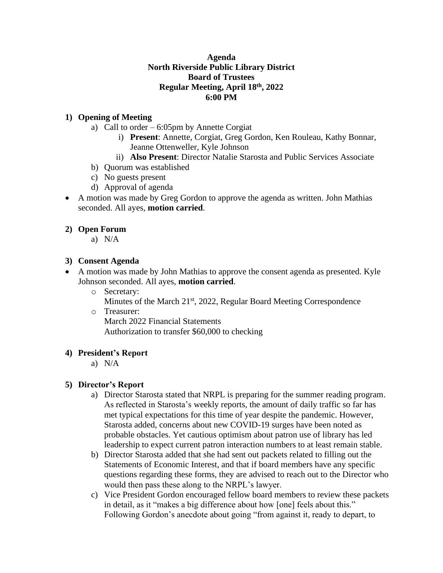# **Agenda North Riverside Public Library District Board of Trustees Regular Meeting, April 18th, 2022 6:00 PM**

# **1) Opening of Meeting**

- a) Call to order 6:05pm by Annette Corgiat
	- i) **Present**: Annette, Corgiat, Greg Gordon, Ken Rouleau, Kathy Bonnar, Jeanne Ottenweller, Kyle Johnson
	- ii) **Also Present**: Director Natalie Starosta and Public Services Associate
- b) Quorum was established
- c) No guests present
- d) Approval of agenda
- A motion was made by Greg Gordon to approve the agenda as written. John Mathias seconded. All ayes, **motion carried**.

# **2) Open Forum**

a) N/A

# **3) Consent Agenda**

- A motion was made by John Mathias to approve the consent agenda as presented. Kyle Johnson seconded. All ayes, **motion carried**.
	- o Secretary:
		- Minutes of the March 21<sup>st</sup>, 2022, Regular Board Meeting Correspondence
	- o Treasurer:

March 2022 Financial Statements Authorization to transfer \$60,000 to checking

### **4) President's Report**

a) N/A

# **5) Director's Report**

- a) Director Starosta stated that NRPL is preparing for the summer reading program. As reflected in Starosta's weekly reports, the amount of daily traffic so far has met typical expectations for this time of year despite the pandemic. However, Starosta added, concerns about new COVID-19 surges have been noted as probable obstacles. Yet cautious optimism about patron use of library has led leadership to expect current patron interaction numbers to at least remain stable.
- b) Director Starosta added that she had sent out packets related to filling out the Statements of Economic Interest, and that if board members have any specific questions regarding these forms, they are advised to reach out to the Director who would then pass these along to the NRPL's lawyer.
- c) Vice President Gordon encouraged fellow board members to review these packets in detail, as it "makes a big difference about how [one] feels about this." Following Gordon's anecdote about going "from against it, ready to depart, to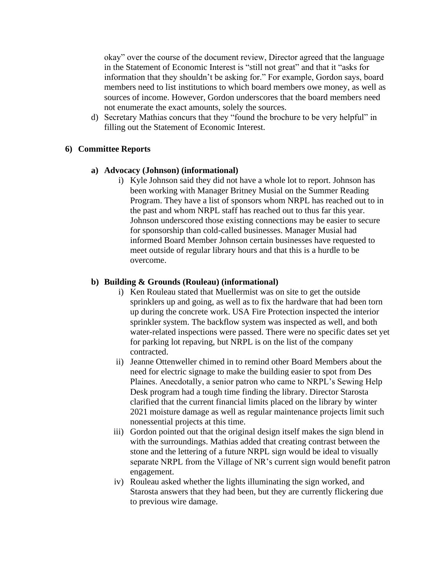okay" over the course of the document review, Director agreed that the language in the Statement of Economic Interest is "still not great" and that it "asks for information that they shouldn't be asking for." For example, Gordon says, board members need to list institutions to which board members owe money, as well as sources of income. However, Gordon underscores that the board members need not enumerate the exact amounts, solely the sources.

d) Secretary Mathias concurs that they "found the brochure to be very helpful" in filling out the Statement of Economic Interest.

# **6) Committee Reports**

### **a) Advocacy (Johnson) (informational)**

i) Kyle Johnson said they did not have a whole lot to report. Johnson has been working with Manager Britney Musial on the Summer Reading Program. They have a list of sponsors whom NRPL has reached out to in the past and whom NRPL staff has reached out to thus far this year. Johnson underscored those existing connections may be easier to secure for sponsorship than cold-called businesses. Manager Musial had informed Board Member Johnson certain businesses have requested to meet outside of regular library hours and that this is a hurdle to be overcome.

# **b) Building & Grounds (Rouleau) (informational)**

- i) Ken Rouleau stated that Muellermist was on site to get the outside sprinklers up and going, as well as to fix the hardware that had been torn up during the concrete work. USA Fire Protection inspected the interior sprinkler system. The backflow system was inspected as well, and both water-related inspections were passed. There were no specific dates set yet for parking lot repaving, but NRPL is on the list of the company contracted.
- ii) Jeanne Ottenweller chimed in to remind other Board Members about the need for electric signage to make the building easier to spot from Des Plaines. Anecdotally, a senior patron who came to NRPL's Sewing Help Desk program had a tough time finding the library. Director Starosta clarified that the current financial limits placed on the library by winter 2021 moisture damage as well as regular maintenance projects limit such nonessential projects at this time.
- iii) Gordon pointed out that the original design itself makes the sign blend in with the surroundings. Mathias added that creating contrast between the stone and the lettering of a future NRPL sign would be ideal to visually separate NRPL from the Village of NR's current sign would benefit patron engagement.
- iv) Rouleau asked whether the lights illuminating the sign worked, and Starosta answers that they had been, but they are currently flickering due to previous wire damage.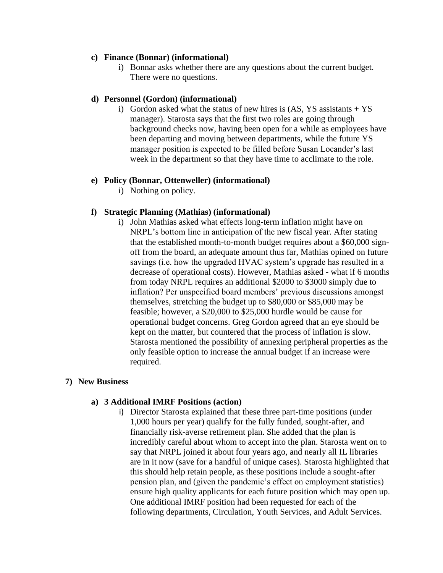### **c) Finance (Bonnar) (informational)**

i) Bonnar asks whether there are any questions about the current budget. There were no questions.

### **d) Personnel (Gordon) (informational)**

i) Gordon asked what the status of new hires is  $(AS, YS)$  assistants + YS manager). Starosta says that the first two roles are going through background checks now, having been open for a while as employees have been departing and moving between departments, while the future YS manager position is expected to be filled before Susan Locander's last week in the department so that they have time to acclimate to the role.

#### **e) Policy (Bonnar, Ottenweller) (informational)**

i) Nothing on policy.

### **f) Strategic Planning (Mathias) (informational)**

i) John Mathias asked what effects long-term inflation might have on NRPL's bottom line in anticipation of the new fiscal year. After stating that the established month-to-month budget requires about a \$60,000 signoff from the board, an adequate amount thus far, Mathias opined on future savings (i.e. how the upgraded HVAC system's upgrade has resulted in a decrease of operational costs). However, Mathias asked - what if 6 months from today NRPL requires an additional \$2000 to \$3000 simply due to inflation? Per unspecified board members' previous discussions amongst themselves, stretching the budget up to \$80,000 or \$85,000 may be feasible; however, a \$20,000 to \$25,000 hurdle would be cause for operational budget concerns. Greg Gordon agreed that an eye should be kept on the matter, but countered that the process of inflation is slow. Starosta mentioned the possibility of annexing peripheral properties as the only feasible option to increase the annual budget if an increase were required.

### **7) New Business**

### **a) 3 Additional IMRF Positions (action)**

i) Director Starosta explained that these three part-time positions (under 1,000 hours per year) qualify for the fully funded, sought-after, and financially risk-averse retirement plan. She added that the plan is incredibly careful about whom to accept into the plan. Starosta went on to say that NRPL joined it about four years ago, and nearly all IL libraries are in it now (save for a handful of unique cases). Starosta highlighted that this should help retain people, as these positions include a sought-after pension plan, and (given the pandemic's effect on employment statistics) ensure high quality applicants for each future position which may open up. One additional IMRF position had been requested for each of the following departments, Circulation, Youth Services, and Adult Services.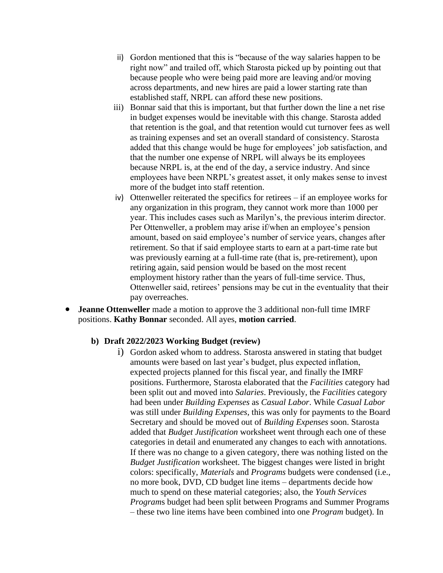- ii) Gordon mentioned that this is "because of the way salaries happen to be right now" and trailed off, which Starosta picked up by pointing out that because people who were being paid more are leaving and/or moving across departments, and new hires are paid a lower starting rate than established staff, NRPL can afford these new positions.
- iii) Bonnar said that this is important, but that further down the line a net rise in budget expenses would be inevitable with this change. Starosta added that retention is the goal, and that retention would cut turnover fees as well as training expenses and set an overall standard of consistency. Starosta added that this change would be huge for employees' job satisfaction, and that the number one expense of NRPL will always be its employees because NRPL is, at the end of the day, a service industry. And since employees have been NRPL's greatest asset, it only makes sense to invest more of the budget into staff retention.
- iv) Ottenweller reiterated the specifics for retirees if an employee works for any organization in this program, they cannot work more than 1000 per year. This includes cases such as Marilyn's, the previous interim director. Per Ottenweller, a problem may arise if/when an employee's pension amount, based on said employee's number of service years, changes after retirement. So that if said employee starts to earn at a part-time rate but was previously earning at a full-time rate (that is, pre-retirement), upon retiring again, said pension would be based on the most recent employment history rather than the years of full-time service. Thus, Ottenweller said, retirees' pensions may be cut in the eventuality that their pay overreaches.
- **Jeanne Ottenweller** made a motion to approve the 3 additional non-full time IMRF positions. **Kathy Bonnar** seconded. All ayes, **motion carried**.

#### **b) Draft 2022/2023 Working Budget (review)**

i) Gordon asked whom to address. Starosta answered in stating that budget amounts were based on last year's budget, plus expected inflation, expected projects planned for this fiscal year, and finally the IMRF positions. Furthermore, Starosta elaborated that the *Facilities* category had been split out and moved into *Salaries*. Previously, the *Facilities* category had been under *Building Expenses* as *Casual Labor*. While *Casual Labor* was still under *Building Expenses*, this was only for payments to the Board Secretary and should be moved out of *Building Expenses* soon. Starosta added that *Budget Justification* worksheet went through each one of these categories in detail and enumerated any changes to each with annotations. If there was no change to a given category, there was nothing listed on the *Budget Justification* worksheet. The biggest changes were listed in bright colors: specifically, *Materials* and *Programs* budgets were condensed (i.e., no more book, DVD, CD budget line items – departments decide how much to spend on these material categories; also, the *Youth Services Program*s budget had been split between Programs and Summer Programs – these two line items have been combined into one *Program* budget). In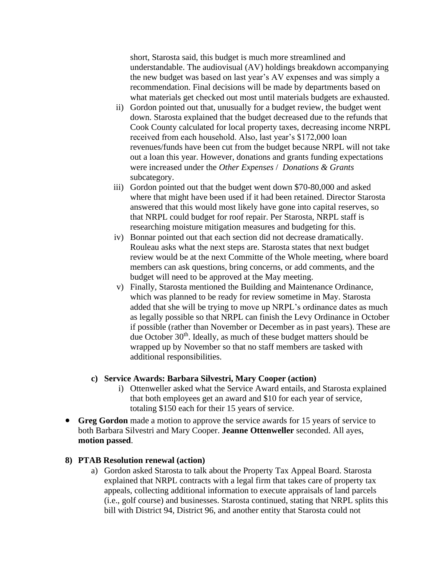short, Starosta said, this budget is much more streamlined and understandable. The audiovisual (AV) holdings breakdown accompanying the new budget was based on last year's AV expenses and was simply a recommendation. Final decisions will be made by departments based on what materials get checked out most until materials budgets are exhausted.

- ii) Gordon pointed out that, unusually for a budget review, the budget went down. Starosta explained that the budget decreased due to the refunds that Cook County calculated for local property taxes, decreasing income NRPL received from each household. Also, last year's \$172,000 loan revenues/funds have been cut from the budget because NRPL will not take out a loan this year. However, donations and grants funding expectations were increased under the *Other Expenses* / *Donations & Grants*  subcategory.
- iii) Gordon pointed out that the budget went down \$70-80,000 and asked where that might have been used if it had been retained. Director Starosta answered that this would most likely have gone into capital reserves, so that NRPL could budget for roof repair. Per Starosta, NRPL staff is researching moisture mitigation measures and budgeting for this.
- iv) Bonnar pointed out that each section did not decrease dramatically. Rouleau asks what the next steps are. Starosta states that next budget review would be at the next Committe of the Whole meeting, where board members can ask questions, bring concerns, or add comments, and the budget will need to be approved at the May meeting.
- v) Finally, Starosta mentioned the Building and Maintenance Ordinance, which was planned to be ready for review sometime in May. Starosta added that she will be trying to move up NRPL's ordinance dates as much as legally possible so that NRPL can finish the Levy Ordinance in October if possible (rather than November or December as in past years). These are due October  $30<sup>th</sup>$ . Ideally, as much of these budget matters should be wrapped up by November so that no staff members are tasked with additional responsibilities.

#### **c) Service Awards: Barbara Silvestri, Mary Cooper (action)**

- i) Ottenweller asked what the Service Award entails, and Starosta explained that both employees get an award and \$10 for each year of service, totaling \$150 each for their 15 years of service.
- **Greg Gordon** made a motion to approve the service awards for 15 years of service to both Barbara Silvestri and Mary Cooper. **Jeanne Ottenweller** seconded. All ayes, **motion passed**.

#### **8) PTAB Resolution renewal (action)**

a) Gordon asked Starosta to talk about the Property Tax Appeal Board. Starosta explained that NRPL contracts with a legal firm that takes care of property tax appeals, collecting additional information to execute appraisals of land parcels (i.e., golf course) and businesses. Starosta continued, stating that NRPL splits this bill with District 94, District 96, and another entity that Starosta could not